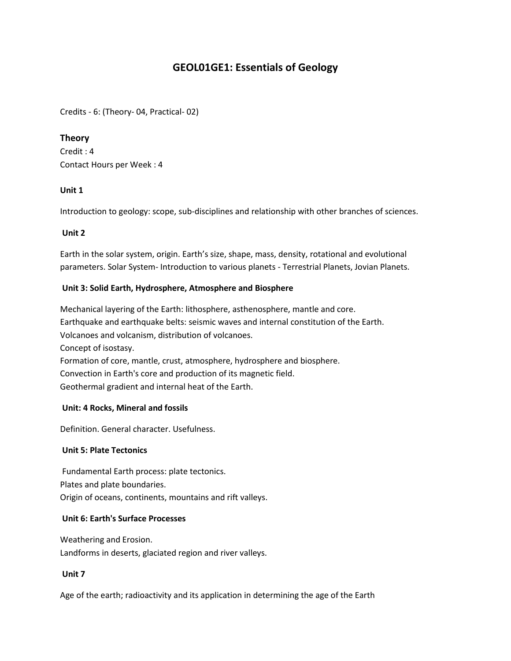# **GEOL01GE1: Essentials of Geology**

Credits - 6: (Theory- 04, Practical- 02)

## **Theory**

Credit : 4 Contact Hours per Week : 4

## **Unit 1**

Introduction to geology: scope, sub-disciplines and relationship with other branches of sciences.

## **Unit 2**

Earth in the solar system, origin. Earth's size, shape, mass, density, rotational and evolutional parameters. Solar System- Introduction to various planets - Terrestrial Planets, Jovian Planets.

## **Unit 3: Solid Earth, Hydrosphere, Atmosphere and Biosphere**

Mechanical layering of the Earth: lithosphere, asthenosphere, mantle and core. Earthquake and earthquake belts: seismic waves and internal constitution of the Earth. Volcanoes and volcanism, distribution of volcanoes. Concept of isostasy. Formation of core, mantle, crust, atmosphere, hydrosphere and biosphere. Convection in Earth's core and production of its magnetic field. Geothermal gradient and internal heat of the Earth.

#### **Unit: 4 Rocks, Mineral and fossils**

Definition. General character. Usefulness.

#### **Unit 5: Plate Tectonics**

Fundamental Earth process: plate tectonics. Plates and plate boundaries. Origin of oceans, continents, mountains and rift valleys.

#### **Unit 6: Earth's Surface Processes**

Weathering and Erosion. Landforms in deserts, glaciated region and river valleys.

#### **Unit 7**

Age of the earth; radioactivity and its application in determining the age of the Earth